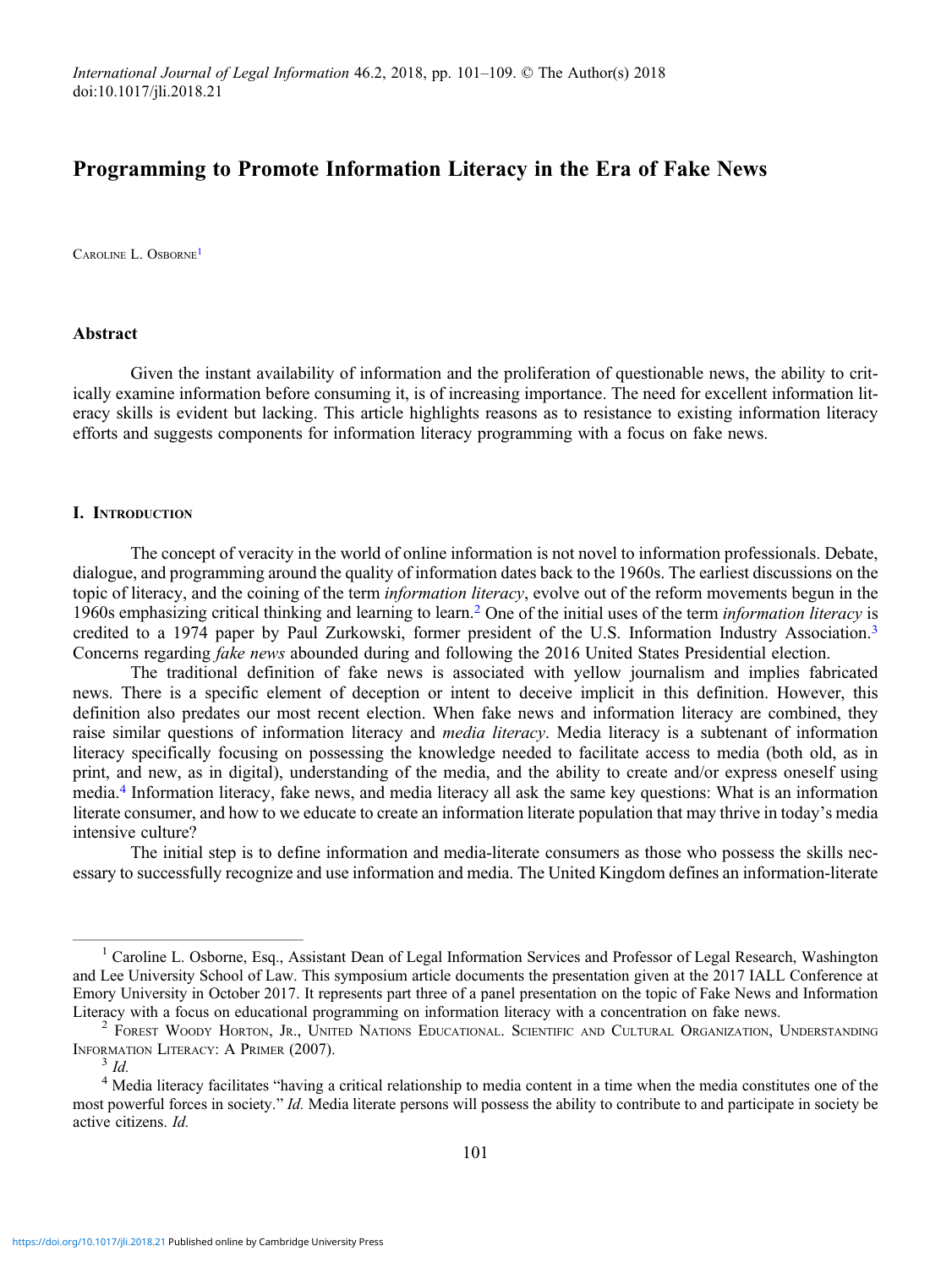# Programming to Promote Information Literacy in the Era of Fake News

CAROLINE L. OSBORNE1

#### Abstract

Given the instant availability of information and the proliferation of questionable news, the ability to critically examine information before consuming it, is of increasing importance. The need for excellent information literacy skills is evident but lacking. This article highlights reasons as to resistance to existing information literacy efforts and suggests components for information literacy programming with a focus on fake news.

# I. INTRODUCTION

The concept of veracity in the world of online information is not novel to information professionals. Debate, dialogue, and programming around the quality of information dates back to the 1960s. The earliest discussions on the topic of literacy, and the coining of the term *information literacy*, evolve out of the reform movements begun in the 1960s emphasizing critical thinking and learning to learn.<sup>2</sup> One of the initial uses of the term *information literacy* is credited to a 1974 paper by Paul Zurkowski, former president of the U.S. Information Industry Association.<sup>3</sup> Concerns regarding fake news abounded during and following the 2016 United States Presidential election.

The traditional definition of fake news is associated with yellow journalism and implies fabricated news. There is a specific element of deception or intent to deceive implicit in this definition. However, this definition also predates our most recent election. When fake news and information literacy are combined, they raise similar questions of information literacy and *media literacy*. Media literacy is a subtenant of information literacy specifically focusing on possessing the knowledge needed to facilitate access to media (both old, as in print, and new, as in digital), understanding of the media, and the ability to create and/or express oneself using media.<sup>4</sup> Information literacy, fake news, and media literacy all ask the same key questions: What is an information literate consumer, and how to we educate to create an information literate population that may thrive in today's media intensive culture?

The initial step is to define information and media-literate consumers as those who possess the skills necessary to successfully recognize and use information and media. The United Kingdom defines an information-literate

<sup>&</sup>lt;sup>1</sup> Caroline L. Osborne, Esq., Assistant Dean of Legal Information Services and Professor of Legal Research, Washington and Lee University School of Law. This symposium article documents the presentation given at the 2017 IALL Conference at Emory University in October 2017. It represents part three of a panel presentation on the topic of Fake News and Information Literacy with a focus on educational programming on information literacy with a concentration on fake news.

<sup>&</sup>lt;sup>2</sup> FOREST WOODY HORTON, JR., UNITED NATIONS EDUCATIONAL. SCIENTIFIC AND CULTURAL ORGANIZATION, UNDERSTANDING INFORMATION LITERACY: A PRIMER (2007).

 $3 \dot{d}$ 

<sup>&</sup>lt;sup>4</sup> Media literacy facilitates "having a critical relationship to media content in a time when the media constitutes one of the most powerful forces in society." *Id.* Media literate persons will possess the ability to contribute to and participate in society be active citizens. Id.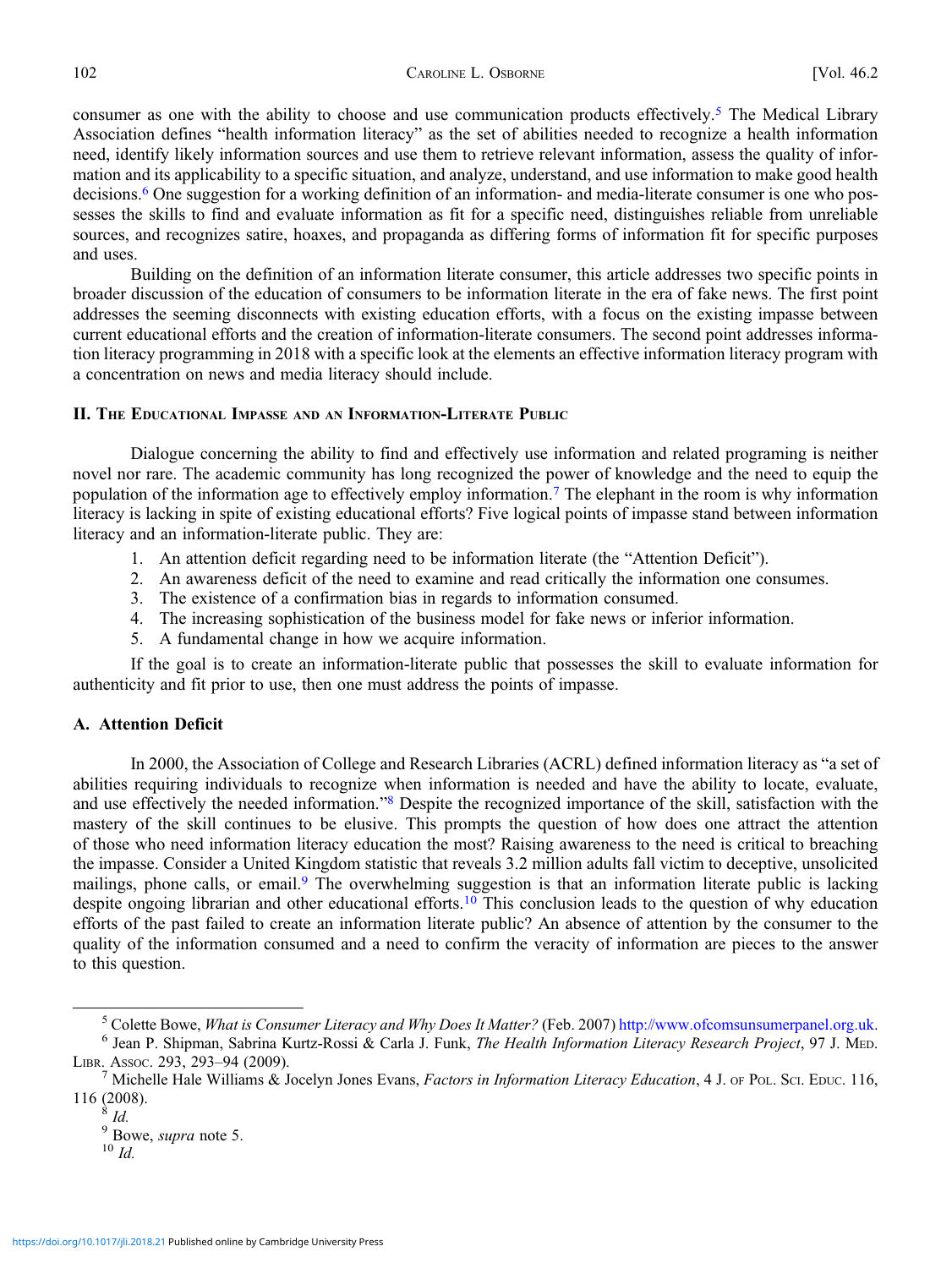consumer as one with the ability to choose and use communication products effectively.<sup>5</sup> The Medical Library Association defines "health information literacy" as the set of abilities needed to recognize a health information need, identify likely information sources and use them to retrieve relevant information, assess the quality of information and its applicability to a specific situation, and analyze, understand, and use information to make good health decisions.<sup>6</sup> One suggestion for a working definition of an information- and media-literate consumer is one who possesses the skills to find and evaluate information as fit for a specific need, distinguishes reliable from unreliable sources, and recognizes satire, hoaxes, and propaganda as differing forms of information fit for specific purposes and uses.

Building on the definition of an information literate consumer, this article addresses two specific points in broader discussion of the education of consumers to be information literate in the era of fake news. The first point addresses the seeming disconnects with existing education efforts, with a focus on the existing impasse between current educational efforts and the creation of information-literate consumers. The second point addresses information literacy programming in 2018 with a specific look at the elements an effective information literacy program with a concentration on news and media literacy should include.

# II. THE EDUCATIONAL IMPASSE AND AN INFORMATION-LITERATE PUBLIC

Dialogue concerning the ability to find and effectively use information and related programing is neither novel nor rare. The academic community has long recognized the power of knowledge and the need to equip the population of the information age to effectively employ information.<sup>7</sup> The elephant in the room is why information literacy is lacking in spite of existing educational efforts? Five logical points of impasse stand between information literacy and an information-literate public. They are:

- 1. An attention deficit regarding need to be information literate (the "Attention Deficit").
- 2. An awareness deficit of the need to examine and read critically the information one consumes.
- 3. The existence of a confirmation bias in regards to information consumed.
- 4. The increasing sophistication of the business model for fake news or inferior information.
- 5. A fundamental change in how we acquire information.

If the goal is to create an information-literate public that possesses the skill to evaluate information for authenticity and fit prior to use, then one must address the points of impasse.

### A. Attention Deficit

In 2000, the Association of College and Research Libraries (ACRL) defined information literacy as "a set of abilities requiring individuals to recognize when information is needed and have the ability to locate, evaluate, and use effectively the needed information."<sup>8</sup> Despite the recognized importance of the skill, satisfaction with the mastery of the skill continues to be elusive. This prompts the question of how does one attract the attention of those who need information literacy education the most? Raising awareness to the need is critical to breaching the impasse. Consider a United Kingdom statistic that reveals 3.2 million adults fall victim to deceptive, unsolicited mailings, phone calls, or email.<sup>9</sup> The overwhelming suggestion is that an information literate public is lacking despite ongoing librarian and other educational efforts.<sup>10</sup> This conclusion leads to the question of why education efforts of the past failed to create an information literate public? An absence of attention by the consumer to the quality of the information consumed and a need to confirm the veracity of information are pieces to the answer to this question.

<sup>&</sup>lt;sup>5</sup> Colette Bowe, *What is Consumer Literacy and Why Does It Matter?* (Feb. 2007) <http://www.ofcomsunsumerpanel.org.uk>.<br><sup>6</sup> Jean P. Shipman, Sabrina Kurtz-Rossi & Carla J. Funk, *The Health Information Literacy Research P* LIBR. Assoc. 293, 293–94 (2009).<br><sup>7</sup> Michelle Hale Williams & Jocelyn Jones Evans, *Factors in Information Literacy Education*, 4 J. OF POL. Sci. EDUC. 116,

<sup>116 (2008).</sup>

 $id.$ 

<sup>&</sup>lt;sup>9</sup> Bowe, *supra* note 5.

 $10 \; Id.$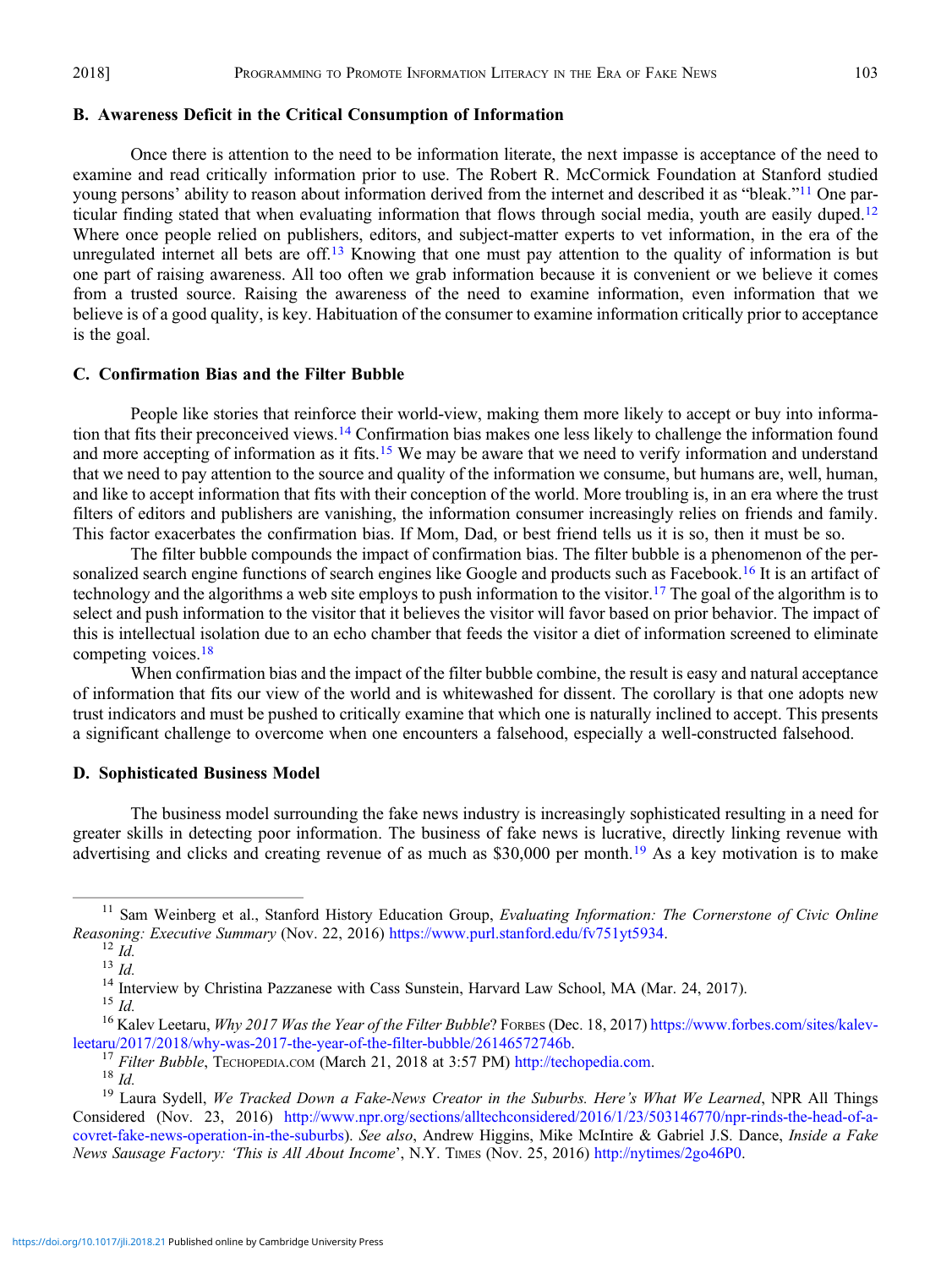# B. Awareness Deficit in the Critical Consumption of Information

Once there is attention to the need to be information literate, the next impasse is acceptance of the need to examine and read critically information prior to use. The Robert R. McCormick Foundation at Stanford studied young persons' ability to reason about information derived from the internet and described it as "bleak."<sup>11</sup> One particular finding stated that when evaluating information that flows through social media, youth are easily duped.<sup>12</sup> Where once people relied on publishers, editors, and subject-matter experts to vet information, in the era of the unregulated internet all bets are off.<sup>13</sup> Knowing that one must pay attention to the quality of information is but one part of raising awareness. All too often we grab information because it is convenient or we believe it comes from a trusted source. Raising the awareness of the need to examine information, even information that we believe is of a good quality, is key. Habituation of the consumer to examine information critically prior to acceptance is the goal.

# C. Confirmation Bias and the Filter Bubble

People like stories that reinforce their world-view, making them more likely to accept or buy into information that fits their preconceived views.<sup>14</sup> Confirmation bias makes one less likely to challenge the information found and more accepting of information as it fits.<sup>15</sup> We may be aware that we need to verify information and understand that we need to pay attention to the source and quality of the information we consume, but humans are, well, human, and like to accept information that fits with their conception of the world. More troubling is, in an era where the trust filters of editors and publishers are vanishing, the information consumer increasingly relies on friends and family. This factor exacerbates the confirmation bias. If Mom, Dad, or best friend tells us it is so, then it must be so.

The filter bubble compounds the impact of confirmation bias. The filter bubble is a phenomenon of the personalized search engine functions of search engines like Google and products such as Facebook.<sup>16</sup> It is an artifact of technology and the algorithms a web site employs to push information to the visitor.<sup>17</sup> The goal of the algorithm is to select and push information to the visitor that it believes the visitor will favor based on prior behavior. The impact of this is intellectual isolation due to an echo chamber that feeds the visitor a diet of information screened to eliminate competing voices.18

When confirmation bias and the impact of the filter bubble combine, the result is easy and natural acceptance of information that fits our view of the world and is whitewashed for dissent. The corollary is that one adopts new trust indicators and must be pushed to critically examine that which one is naturally inclined to accept. This presents a significant challenge to overcome when one encounters a falsehood, especially a well-constructed falsehood.

### D. Sophisticated Business Model

The business model surrounding the fake news industry is increasingly sophisticated resulting in a need for greater skills in detecting poor information. The business of fake news is lucrative, directly linking revenue with advertising and clicks and creating revenue of as much as \$30,000 per month.<sup>19</sup> As a key motivation is to make

<sup>&</sup>lt;sup>11</sup> Sam Weinberg et al., Stanford History Education Group, Evaluating Information: The Cornerstone of Civic Online Reasoning: Executive Summary (Nov. 22, 2016) [https://www.purl.stanford.edu/fv751yt5934.](http://www.purl.stanford.edu/fv751yt5934)<br><sup>12</sup> Id.

 $\frac{13}{1}$ 

<sup>&</sup>lt;sup>14</sup> Interview by Christina Pazzanese with Cass Sunstein, Harvard Law School, MA (Mar. 24, 2017).

 $15$  *Id.* 

<sup>&</sup>lt;sup>16</sup> Kalev Leetaru, *Why 2017 Was the Year of the Filter Bubble*? FORBES (Dec. 18, 2017) [https://www.forbes.com/sites/kalev](https://www.forbes.com/sites/kalevleetaru/2017/2018/why-was-2017-the-year-of-the-filter-bubble/26146572746b)[leetaru/2017/2018/why-was-2017-the-year-of-the-filter-bubble/26146572746b](https://www.forbes.com/sites/kalevleetaru/2017/2018/why-was-2017-the-year-of-the-filter-bubble/26146572746b).<br><sup>17</sup> Filter Bubble, TECHOPEDIA.COM (March 21, 2018 at 3:57 PM) <http://techopedia.com>.<br><sup>18</sup> Id.

<sup>&</sup>lt;sup>19</sup> Laura Sydell, We Tracked Down a Fake-News Creator in the Suburbs. Here's What We Learned, NPR All Things Considered (Nov. 23, 2016) [http://www.npr.org/sections/alltechconsidered/2016/1/23/503146770/npr-rinds-the-head-of-a](http://www.npr.org/sections/alltechconsidered/2016/1/23/503146770/npr-rinds-the-head-of-a-covret-fake-news-operation-in-the-suburbs)[covret-fake-news-operation-in-the-suburbs](http://www.npr.org/sections/alltechconsidered/2016/1/23/503146770/npr-rinds-the-head-of-a-covret-fake-news-operation-in-the-suburbs)). See also, Andrew Higgins, Mike McIntire & Gabriel J.S. Dance, *Inside a Fake* News Sausage Factory: 'This is All About Income', N.Y. TIMES (Nov. 25, 2016) <http://nytimes/2go46P0>.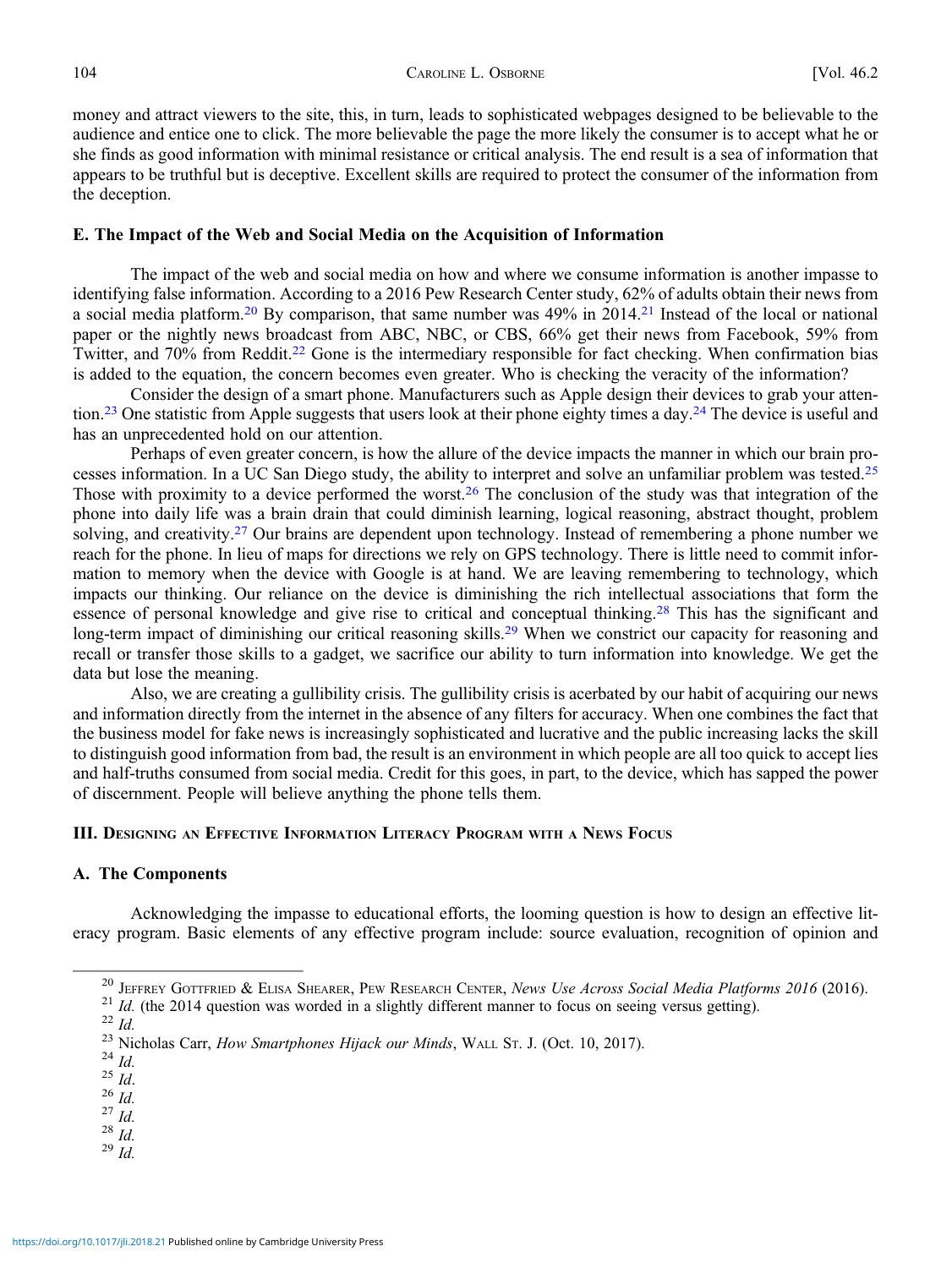money and attract viewers to the site, this, in turn, leads to sophisticated webpages designed to be believable to the audience and entice one to click. The more believable the page the more likely the consumer is to accept what he or she finds as good information with minimal resistance or critical analysis. The end result is a sea of information that appears to be truthful but is deceptive. Excellent skills are required to protect the consumer of the information from the deception.

#### E. The Impact of the Web and Social Media on the Acquisition of Information

The impact of the web and social media on how and where we consume information is another impasse to identifying false information. According to a 2016 Pew Research Center study, 62% of adults obtain their news from a social media platform.<sup>20</sup> By comparison, that same number was 49% in 2014.21 Instead of the local or national paper or the nightly news broadcast from ABC, NBC, or CBS, 66% get their news from Facebook, 59% from Twitter, and 70% from Reddit.<sup>22</sup> Gone is the intermediary responsible for fact checking. When confirmation bias is added to the equation, the concern becomes even greater. Who is checking the veracity of the information?

Consider the design of a smart phone. Manufacturers such as Apple design their devices to grab your attention.<sup>23</sup> One statistic from Apple suggests that users look at their phone eighty times a day.<sup>24</sup> The device is useful and has an unprecedented hold on our attention.

Perhaps of even greater concern, is how the allure of the device impacts the manner in which our brain processes information. In a UC San Diego study, the ability to interpret and solve an unfamiliar problem was tested.<sup>25</sup> Those with proximity to a device performed the worst.<sup>26</sup> The conclusion of the study was that integration of the phone into daily life was a brain drain that could diminish learning, logical reasoning, abstract thought, problem solving, and creativity.<sup>27</sup> Our brains are dependent upon technology. Instead of remembering a phone number we reach for the phone. In lieu of maps for directions we rely on GPS technology. There is little need to commit information to memory when the device with Google is at hand. We are leaving remembering to technology, which impacts our thinking. Our reliance on the device is diminishing the rich intellectual associations that form the essence of personal knowledge and give rise to critical and conceptual thinking.<sup>28</sup> This has the significant and long-term impact of diminishing our critical reasoning skills.<sup>29</sup> When we constrict our capacity for reasoning and recall or transfer those skills to a gadget, we sacrifice our ability to turn information into knowledge. We get the data but lose the meaning.

Also, we are creating a gullibility crisis. The gullibility crisis is acerbated by our habit of acquiring our news and information directly from the internet in the absence of any filters for accuracy. When one combines the fact that the business model for fake news is increasingly sophisticated and lucrative and the public increasing lacks the skill to distinguish good information from bad, the result is an environment in which people are all too quick to accept lies and half-truths consumed from social media. Credit for this goes, in part, to the device, which has sapped the power of discernment. People will believe anything the phone tells them.

### III. DESIGNING AN EFFECTIVE INFORMATION LITERACY PROGRAM WITH A NEWS FOCUS

#### A. The Components

Acknowledging the impasse to educational efforts, the looming question is how to design an effective literacy program. Basic elements of any effective program include: source evaluation, recognition of opinion and

 $26$  Id.  $^{27}$  Id.

 $^{29}$  Id.

<sup>&</sup>lt;sup>20</sup> JEFFREY GOTTFRIED & ELISA SHEARER, PEW RESEARCH CENTER, News Use Across Social Media Platforms 2016 (2016).

 $21$  Id. (the 2014 question was worded in a slightly different manner to focus on seeing versus getting).

 $^{22}$  *Id.* 

<sup>&</sup>lt;sup>23</sup> Nicholas Carr, How Smartphones Hijack our Minds, WALL ST. J. (Oct. 10, 2017).

 $\begin{array}{c} \n ^{24} \ \text{Id.} \\ \n ^{25} \ \text{Id.} \n \end{array}$ 

<sup>28</sup> Id.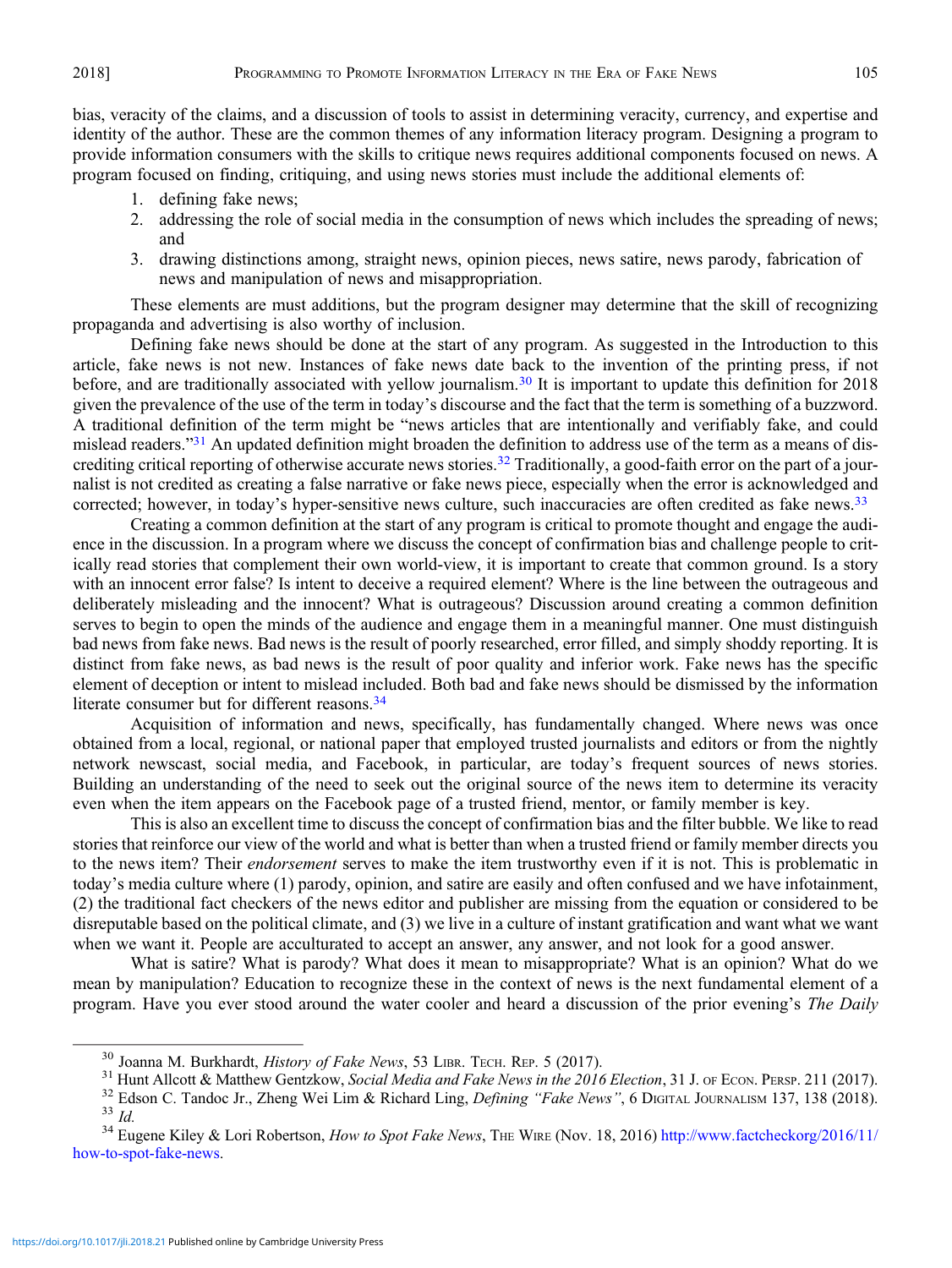bias, veracity of the claims, and a discussion of tools to assist in determining veracity, currency, and expertise and identity of the author. These are the common themes of any information literacy program. Designing a program to provide information consumers with the skills to critique news requires additional components focused on news. A program focused on finding, critiquing, and using news stories must include the additional elements of:

- 1. defining fake news;
- 2. addressing the role of social media in the consumption of news which includes the spreading of news; and
- 3. drawing distinctions among, straight news, opinion pieces, news satire, news parody, fabrication of news and manipulation of news and misappropriation.

These elements are must additions, but the program designer may determine that the skill of recognizing propaganda and advertising is also worthy of inclusion.

Defining fake news should be done at the start of any program. As suggested in the Introduction to this article, fake news is not new. Instances of fake news date back to the invention of the printing press, if not before, and are traditionally associated with yellow journalism.<sup>30</sup> It is important to update this definition for 2018 given the prevalence of the use of the term in today's discourse and the fact that the term is something of a buzzword. A traditional definition of the term might be "news articles that are intentionally and verifiably fake, and could mislead readers."<sup>31</sup> An updated definition might broaden the definition to address use of the term as a means of discrediting critical reporting of otherwise accurate news stories.<sup>32</sup> Traditionally, a good-faith error on the part of a journalist is not credited as creating a false narrative or fake news piece, especially when the error is acknowledged and corrected; however, in today's hyper-sensitive news culture, such inaccuracies are often credited as fake news.<sup>33</sup>

Creating a common definition at the start of any program is critical to promote thought and engage the audience in the discussion. In a program where we discuss the concept of confirmation bias and challenge people to critically read stories that complement their own world-view, it is important to create that common ground. Is a story with an innocent error false? Is intent to deceive a required element? Where is the line between the outrageous and deliberately misleading and the innocent? What is outrageous? Discussion around creating a common definition serves to begin to open the minds of the audience and engage them in a meaningful manner. One must distinguish bad news from fake news. Bad news is the result of poorly researched, error filled, and simply shoddy reporting. It is distinct from fake news, as bad news is the result of poor quality and inferior work. Fake news has the specific element of deception or intent to mislead included. Both bad and fake news should be dismissed by the information literate consumer but for different reasons.<sup>34</sup>

Acquisition of information and news, specifically, has fundamentally changed. Where news was once obtained from a local, regional, or national paper that employed trusted journalists and editors or from the nightly network newscast, social media, and Facebook, in particular, are today's frequent sources of news stories. Building an understanding of the need to seek out the original source of the news item to determine its veracity even when the item appears on the Facebook page of a trusted friend, mentor, or family member is key.

This is also an excellent time to discuss the concept of confirmation bias and the filter bubble. We like to read stories that reinforce our view of the world and what is better than when a trusted friend or family member directs you to the news item? Their *endorsement* serves to make the item trustworthy even if it is not. This is problematic in today's media culture where (1) parody, opinion, and satire are easily and often confused and we have infotainment, (2) the traditional fact checkers of the news editor and publisher are missing from the equation or considered to be disreputable based on the political climate, and (3) we live in a culture of instant gratification and want what we want when we want it. People are acculturated to accept an answer, any answer, and not look for a good answer.

What is satire? What is parody? What does it mean to misappropriate? What is an opinion? What do we mean by manipulation? Education to recognize these in the context of news is the next fundamental element of a program. Have you ever stood around the water cooler and heard a discussion of the prior evening's The Daily

 $30$  Joanna M. Burkhardt, *History of Fake News*, 53 LIBR. TECH. REP. 5 (2017).

<sup>&</sup>lt;sup>31</sup> Hunt Allcott & Matthew Gentzkow, Social Media and Fake News in the 2016 Election, 31 J. or Econ. PERSP. 211 (2017).

<sup>&</sup>lt;sup>32</sup> Edson C. Tandoc Jr., Zheng Wei Lim & Richard Ling, Defining "Fake News", 6 DIGITAL JOURNALISM 137, 138 (2018).  $33$  Id.

<sup>&</sup>lt;sup>34</sup> Eugene Kiley & Lori Robertson, *How to Spot Fake News*, THE WIRE (Nov. 18, 2016) [http://www.factcheckorg/2016/11/](http://www.factcheckorg/2016/11/how-to-spot-fake-news) [how-to-spot-fake-news](http://www.factcheckorg/2016/11/how-to-spot-fake-news).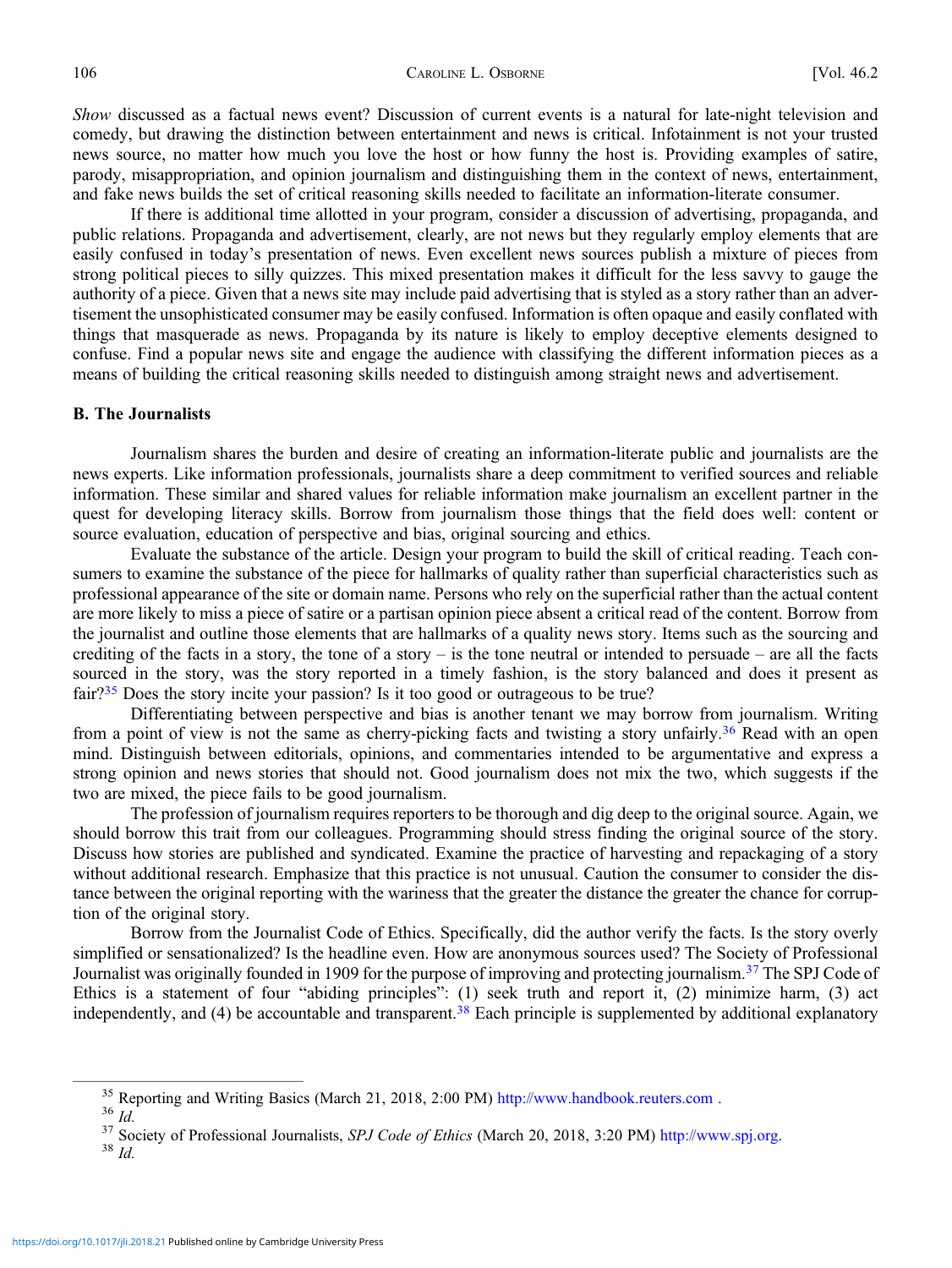Show discussed as a factual news event? Discussion of current events is a natural for late-night television and comedy, but drawing the distinction between entertainment and news is critical. Infotainment is not your trusted news source, no matter how much you love the host or how funny the host is. Providing examples of satire, parody, misappropriation, and opinion journalism and distinguishing them in the context of news, entertainment, and fake news builds the set of critical reasoning skills needed to facilitate an information-literate consumer.

If there is additional time allotted in your program, consider a discussion of advertising, propaganda, and public relations. Propaganda and advertisement, clearly, are not news but they regularly employ elements that are easily confused in today's presentation of news. Even excellent news sources publish a mixture of pieces from strong political pieces to silly quizzes. This mixed presentation makes it difficult for the less savvy to gauge the authority of a piece. Given that a news site may include paid advertising that is styled as a story rather than an advertisement the unsophisticated consumer may be easily confused. Information is often opaque and easily conflated with things that masquerade as news. Propaganda by its nature is likely to employ deceptive elements designed to confuse. Find a popular news site and engage the audience with classifying the different information pieces as a means of building the critical reasoning skills needed to distinguish among straight news and advertisement.

# B. The Journalists

Journalism shares the burden and desire of creating an information-literate public and journalists are the news experts. Like information professionals, journalists share a deep commitment to verified sources and reliable information. These similar and shared values for reliable information make journalism an excellent partner in the quest for developing literacy skills. Borrow from journalism those things that the field does well: content or source evaluation, education of perspective and bias, original sourcing and ethics.

Evaluate the substance of the article. Design your program to build the skill of critical reading. Teach consumers to examine the substance of the piece for hallmarks of quality rather than superficial characteristics such as professional appearance of the site or domain name. Persons who rely on the superficial rather than the actual content are more likely to miss a piece of satire or a partisan opinion piece absent a critical read of the content. Borrow from the journalist and outline those elements that are hallmarks of a quality news story. Items such as the sourcing and crediting of the facts in a story, the tone of a story – is the tone neutral or intended to persuade – are all the facts sourced in the story, was the story reported in a timely fashion, is the story balanced and does it present as fair?<sup>35</sup> Does the story incite your passion? Is it too good or outrageous to be true?

Differentiating between perspective and bias is another tenant we may borrow from journalism. Writing from a point of view is not the same as cherry-picking facts and twisting a story unfairly.<sup>36</sup> Read with an open mind. Distinguish between editorials, opinions, and commentaries intended to be argumentative and express a strong opinion and news stories that should not. Good journalism does not mix the two, which suggests if the two are mixed, the piece fails to be good journalism.

The profession of journalism requires reporters to be thorough and dig deep to the original source. Again, we should borrow this trait from our colleagues. Programming should stress finding the original source of the story. Discuss how stories are published and syndicated. Examine the practice of harvesting and repackaging of a story without additional research. Emphasize that this practice is not unusual. Caution the consumer to consider the distance between the original reporting with the wariness that the greater the distance the greater the chance for corruption of the original story.

Borrow from the Journalist Code of Ethics. Specifically, did the author verify the facts. Is the story overly simplified or sensationalized? Is the headline even. How are anonymous sources used? The Society of Professional Journalist was originally founded in 1909 for the purpose of improving and protecting journalism.<sup>37</sup> The SPJ Code of Ethics is a statement of four "abiding principles": (1) seek truth and report it, (2) minimize harm, (3) act independently, and (4) be accountable and transparent.<sup>38</sup> Each principle is supplemented by additional explanatory

 $^{35}$  Reporting and Writing Basics (March 21, 2018, 2:00 PM) <http://www.handbook.reuters.com> .  $^{36}$   $_{\rm Id}$ 

 $^{37}$  Society of Professional Journalists, *SPJ Code of Ethics* (March 20, 2018, 3:20 PM) <http://www.spj.org>.  $^{38}$  *Id.*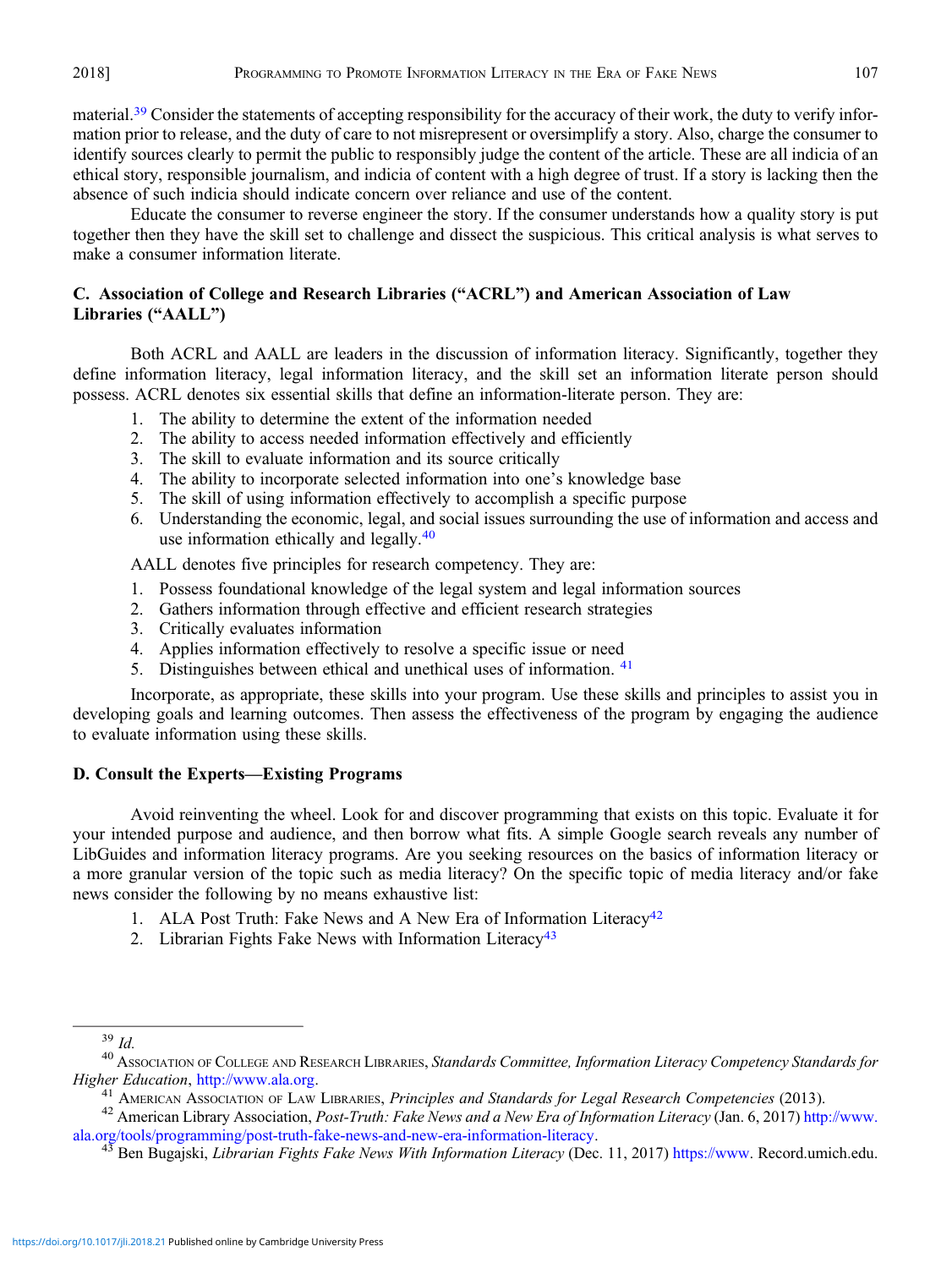material.<sup>39</sup> Consider the statements of accepting responsibility for the accuracy of their work, the duty to verify information prior to release, and the duty of care to not misrepresent or oversimplify a story. Also, charge the consumer to identify sources clearly to permit the public to responsibly judge the content of the article. These are all indicia of an ethical story, responsible journalism, and indicia of content with a high degree of trust. If a story is lacking then the absence of such indicia should indicate concern over reliance and use of the content.

Educate the consumer to reverse engineer the story. If the consumer understands how a quality story is put together then they have the skill set to challenge and dissect the suspicious. This critical analysis is what serves to make a consumer information literate.

# C. Association of College and Research Libraries ("ACRL") and American Association of Law Libraries ("AALL")

Both ACRL and AALL are leaders in the discussion of information literacy. Significantly, together they define information literacy, legal information literacy, and the skill set an information literate person should possess. ACRL denotes six essential skills that define an information-literate person. They are:

- 1. The ability to determine the extent of the information needed
- 2. The ability to access needed information effectively and efficiently
- 3. The skill to evaluate information and its source critically
- 4. The ability to incorporate selected information into one's knowledge base
- 5. The skill of using information effectively to accomplish a specific purpose
- 6. Understanding the economic, legal, and social issues surrounding the use of information and access and use information ethically and legally.<sup>40</sup>

AALL denotes five principles for research competency. They are:

- 1. Possess foundational knowledge of the legal system and legal information sources
- 2. Gathers information through effective and efficient research strategies
- 3. Critically evaluates information
- 4. Applies information effectively to resolve a specific issue or need
- 5. Distinguishes between ethical and unethical uses of information. <sup>41</sup>

Incorporate, as appropriate, these skills into your program. Use these skills and principles to assist you in developing goals and learning outcomes. Then assess the effectiveness of the program by engaging the audience to evaluate information using these skills.

# D. Consult the Experts—Existing Programs

Avoid reinventing the wheel. Look for and discover programming that exists on this topic. Evaluate it for your intended purpose and audience, and then borrow what fits. A simple Google search reveals any number of LibGuides and information literacy programs. Are you seeking resources on the basics of information literacy or a more granular version of the topic such as media literacy? On the specific topic of media literacy and/or fake news consider the following by no means exhaustive list:

- 1. ALA Post Truth: Fake News and A New Era of Information Literacy<sup>42</sup>
- 2. Librarian Fights Fake News with Information Literacy<sup>43</sup>

<sup>39</sup> Id.

<sup>&</sup>lt;sup>40</sup> ASSOCIATION OF COLLEGE AND RESEARCH LIBRARIES, Standards Committee, Information Literacy Competency Standards for<br>Higher Education, http://www.ala.org.

<sup>&</sup>lt;sup>41</sup> AMERICAN ASSOCIATION OF LAW LIBRARIES, Principles and Standards for Legal Research Competencies (2013).

<sup>&</sup>lt;sup>42</sup> American Library Association, *Post-Truth: Fake News and a New Era of Information Literacy* (Jan. 6, 2017) [http://www.](http://www.ala.org/tools/programming/post-truth-fake-news-and-new-era-information-literacy)<br>ala.org/tools/programming/post-truth-fake-news-and-new-era-information-literacy.

 $^{43}$  Ben Bugajski, *Librarian Fights Fake News With Information Literacy* (Dec. 11, 2017) <https://www>. Record.umich.edu.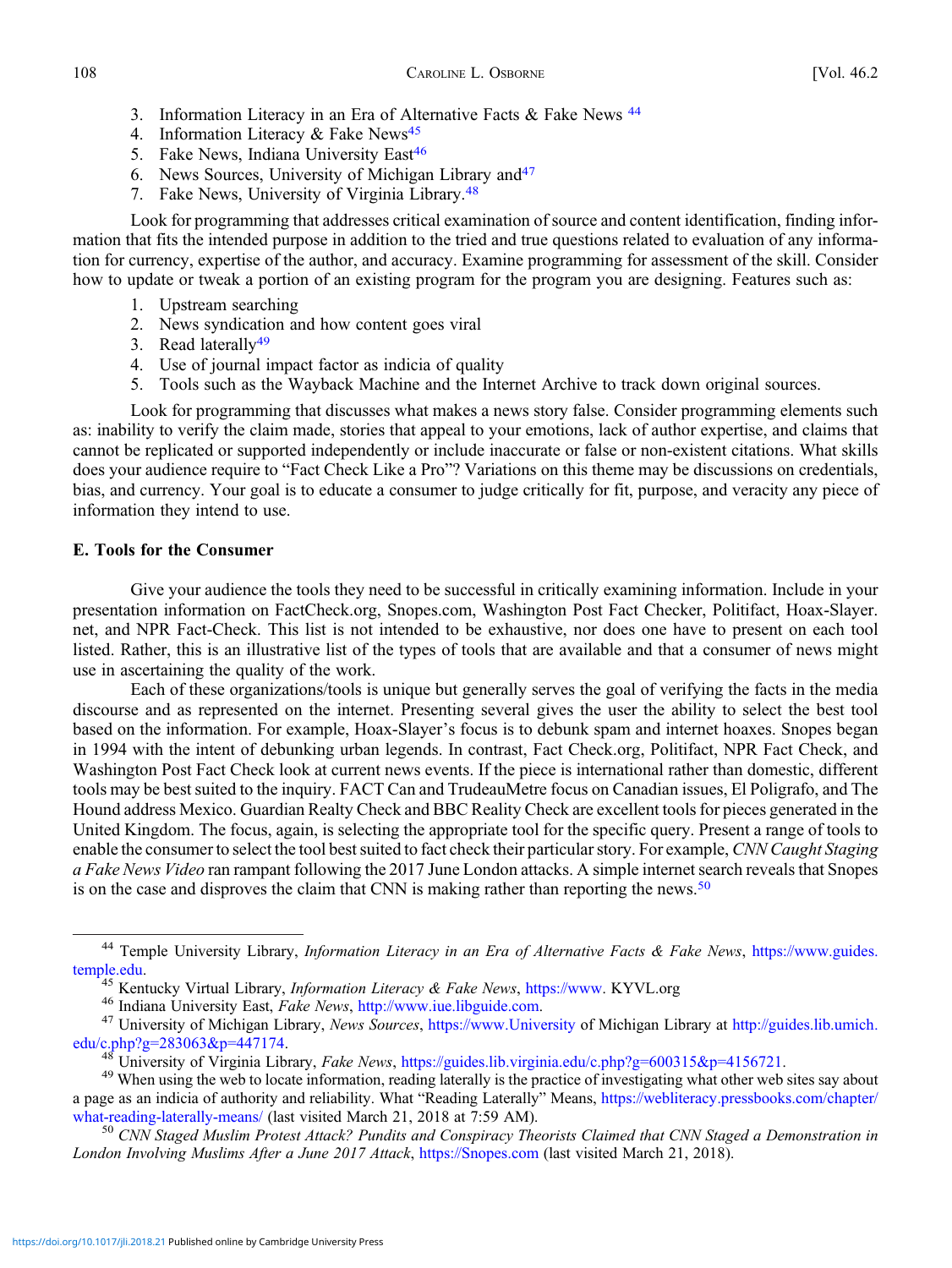- 3. Information Literacy in an Era of Alternative Facts & Fake News <sup>44</sup>
- 4. Information Literacy  $&$  Fake News<sup>45</sup>
- 5. Fake News, Indiana University East<sup>46</sup>
- 6. News Sources, University of Michigan Library and <sup>47</sup>
- 7. Fake News, University of Virginia Library.<sup>48</sup>

Look for programming that addresses critical examination of source and content identification, finding information that fits the intended purpose in addition to the tried and true questions related to evaluation of any information for currency, expertise of the author, and accuracy. Examine programming for assessment of the skill. Consider how to update or tweak a portion of an existing program for the program you are designing. Features such as:

- 1. Upstream searching
- 2. News syndication and how content goes viral
- 3. Read laterally $49$
- 4. Use of journal impact factor as indicia of quality
- 5. Tools such as the Wayback Machine and the Internet Archive to track down original sources.

Look for programming that discusses what makes a news story false. Consider programming elements such as: inability to verify the claim made, stories that appeal to your emotions, lack of author expertise, and claims that cannot be replicated or supported independently or include inaccurate or false or non-existent citations. What skills does your audience require to "Fact Check Like a Pro"? Variations on this theme may be discussions on credentials, bias, and currency. Your goal is to educate a consumer to judge critically for fit, purpose, and veracity any piece of information they intend to use.

# E. Tools for the Consumer

Give your audience the tools they need to be successful in critically examining information. Include in your presentation information on FactCheck.org, Snopes.com, Washington Post Fact Checker, Politifact, Hoax-Slayer. net, and NPR Fact-Check. This list is not intended to be exhaustive, nor does one have to present on each tool listed. Rather, this is an illustrative list of the types of tools that are available and that a consumer of news might use in ascertaining the quality of the work.

Each of these organizations/tools is unique but generally serves the goal of verifying the facts in the media discourse and as represented on the internet. Presenting several gives the user the ability to select the best tool based on the information. For example, Hoax-Slayer's focus is to debunk spam and internet hoaxes. Snopes began in 1994 with the intent of debunking urban legends. In contrast, Fact Check.org, Politifact, NPR Fact Check, and Washington Post Fact Check look at current news events. If the piece is international rather than domestic, different tools may be best suited to the inquiry. FACT Can and TrudeauMetre focus on Canadian issues, El Poligrafo, and The Hound address Mexico. Guardian Realty Check and BBC Reality Check are excellent tools for pieces generated in the United Kingdom. The focus, again, is selecting the appropriate tool for the specific query. Present a range of tools to enable the consumer to select the tool best suited to fact check their particular story. For example, CNN Caught Staging a Fake News Video ran rampant following the 2017 June London attacks. A simple internet search reveals that Snopes is on the case and disproves the claim that CNN is making rather than reporting the news.<sup>50</sup>

<sup>&</sup>lt;sup>44</sup> Temple University Library, *Information Literacy in an Era of Alternative Facts & Fake News*, [https://www.guides.](https://www.guides.temple.edu) [temple.edu](https://www.guides.temple.edu).<br><sup>45</sup> Kentucky Virtual Library, *Information Literacy & Fake News*, [https://www.](https://www) KYVL.org<br><sup>46</sup> Indiana University East, *Fake News*, http://www.iue.libguide.com.

<sup>&</sup>lt;sup>47</sup> University of Michigan Library, *News Sources*, <https://www.University> of Michigan Library at [http://guides.lib.umich.](http://guides.lib.umich.edu/c.php?g=283063&p=447174)<br>edu/c.php?g=283063&p=447174.<br><sup>48</sup> University of Virginia Library, *Eake Naws, https://guides.lib.* 

<sup>&</sup>lt;sup>48</sup> University of Virginia Library, *Fake News*, [https://guides.lib.virginia.edu/c.php?g=600315&p=4156721.](https://guides.lib.virginia.edu/c.php?g=600315&p=4156721)<br><sup>49</sup> When using the web to locate information, reading laterally is the practice of investigating what other web a page as an indicia of authority and reliability. What "Reading Laterally" Means, [https://webliteracy.pressbooks.com/chapter/](https://webliteracy.pressbooks.com/chapter/what-reading-laterally-means/) [what-reading-laterally-means/](https://webliteracy.pressbooks.com/chapter/what-reading-laterally-means/) (last visited March 21, 2018 at 7:59 AM).

<sup>&</sup>lt;sup>50</sup> CNN Staged Muslim Protest Attack? Pundits and Conspiracy Theorists Claimed that CNN Staged a Demonstration in London Involving Muslims After a June 2017 Attack, <https://Snopes.com> (last visited March 21, 2018).